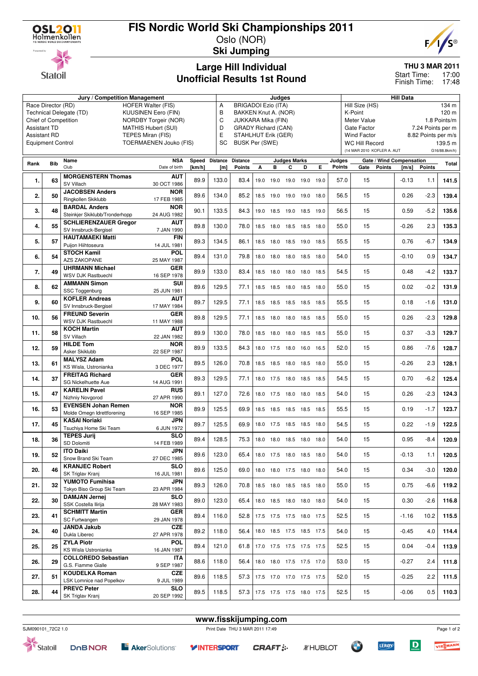

**Statoil** 

## **FIS Nordic World Ski Championships 2011**

Oslo (NOR) **Ski Jumping**



**THU 3 MAR 2011**

17:00 Finish Time: 17:48 Start Time:

## **Large Hill Individual Unofficial Results 1st Round**

|                                                       |                                                    | Jury / Competition Management  |                           | Judges |                      |                            |                       |           |                     |                          | Hill Data |                             |                                           |                  |               |               |  |  |
|-------------------------------------------------------|----------------------------------------------------|--------------------------------|---------------------------|--------|----------------------|----------------------------|-----------------------|-----------|---------------------|--------------------------|-----------|-----------------------------|-------------------------------------------|------------------|---------------|---------------|--|--|
| Race Director (RD)                                    |                                                    |                                | <b>HOFER Walter (FIS)</b> |        | A                    | <b>BRIGADOI Ezio (ITA)</b> |                       |           |                     |                          |           |                             | Hill Size (HS)                            |                  |               | 134 m         |  |  |
| Technical Delegate (TD)<br><b>KUUSINEN Eero (FIN)</b> |                                                    |                                |                           | B      | BAKKEN Knut A. (NOR) |                            |                       |           |                     |                          |           | K-Point<br>120 m            |                                           |                  |               |               |  |  |
| Chief of Competition<br>NORDBY Torgeir (NOR)          |                                                    |                                |                           | C      | JUKKARA Mika (FIN)   |                            |                       |           |                     |                          |           | Meter Value<br>1.8 Points/m |                                           |                  |               |               |  |  |
| <b>Assistant TD</b><br><b>MATHIS Hubert (SUI)</b>     |                                                    |                                |                           |        | D                    | <b>GRADY Richard (CAN)</b> |                       |           |                     |                          |           |                             | Gate Factor<br>7.24 Points per m          |                  |               |               |  |  |
| <b>Assistant RD</b><br>TEPES Miran (FIS)              |                                                    |                                |                           |        | Ε                    | STAHLHUT Erik (GER)        |                       |           |                     |                          |           |                             | <b>Wind Factor</b><br>8.82 Points per m/s |                  |               |               |  |  |
|                                                       | TOERMAENEN Jouko (FIS)<br><b>Equipment Control</b> |                                |                           |        |                      |                            | <b>BUSK Per (SWE)</b> |           |                     |                          |           |                             | <b>WC Hill Record</b>                     |                  |               | 139.5 m       |  |  |
|                                                       |                                                    |                                |                           |        | <b>SC</b>            |                            |                       |           |                     |                          |           |                             | (14 MAR 2010 KOFLER A. AUT                |                  |               | G16/88.8km/h) |  |  |
|                                                       |                                                    |                                |                           |        |                      |                            |                       |           |                     |                          |           |                             |                                           |                  |               |               |  |  |
| Rank                                                  | <b>Bib</b>                                         | Name                           | <b>NSA</b>                |        | Speed Distance       | <b>Distance</b>            |                       |           | <b>Judges Marks</b> |                          |           | Judges                      | Gate / Wind Compensation                  |                  |               | Total         |  |  |
|                                                       |                                                    | Club                           | Date of birth             | [km/h] | [m]                  | <b>Points</b>              | А                     | в         | С                   | D                        | E.        | <b>Points</b>               | Gate<br><b>Points</b>                     | $\mathsf{[m/s]}$ | <b>Points</b> |               |  |  |
|                                                       | 63                                                 | <b>MORGENSTERN Thomas</b>      | <b>AUT</b>                | 89.9   | 133.0                | 83.4                       |                       | 19.0 19.0 |                     | 19.0 19.0                | 19.0      | 57.0                        | 15                                        | $-0.13$          | 1.1           | 141.5         |  |  |
| 1.                                                    |                                                    | SV Villach                     | 30 OCT 1986               |        |                      |                            |                       |           |                     |                          |           |                             |                                           |                  |               |               |  |  |
|                                                       |                                                    | <b>JACOBSEN Anders</b>         | <b>NOR</b>                |        |                      |                            |                       |           |                     |                          |           |                             |                                           |                  |               | 139.4         |  |  |
| 2.                                                    | 50                                                 | Ringkollen Skiklubb            | 17 FEB 1985               | 89.6   | 134.0                | 85.2                       |                       | 18.5 19.0 | 19.0 19.0           |                          | 18.0      | 56.5                        | 15                                        | 0.26             | $-2.3$        |               |  |  |
|                                                       |                                                    | <b>BARDAL Anders</b>           | <b>NOR</b>                |        |                      |                            |                       |           |                     |                          |           |                             |                                           |                  |               |               |  |  |
| 3.                                                    | 48                                                 | Steinkjer Skiklubb/Tronderhopp | 24 AUG 1982               | 90.1   | 133.5                | 84.3                       |                       |           |                     | 19.0 18.5 19.0 18.5 19.0 |           | 56.5                        | 15                                        | 0.59             | $-5.2$        | 135.6         |  |  |
|                                                       |                                                    | <b>SCHLIERENZAUER Gregor</b>   | AUT                       |        |                      |                            |                       |           |                     |                          |           |                             |                                           |                  |               |               |  |  |
| 4.                                                    | 55                                                 | SV Innsbruck-Bergisel          | 7 JAN 1990                | 89.8   | 130.0                | 78.0                       |                       |           |                     | 18.5 18.0 18.5 18.5 18.0 |           | 55.0                        | 15                                        | $-0.26$          | 2.3           | 135.3         |  |  |
|                                                       |                                                    | <b>HAUTAMAEKI Matti</b>        | <b>FIN</b>                |        |                      |                            |                       |           |                     |                          |           |                             |                                           |                  |               |               |  |  |
| 5.                                                    | 57                                                 | Puijon Hiihtoseura             | 14 JUL 1981               | 89.3   | 134.5                | 86.1                       |                       |           |                     | 18.5 18.0 18.5 19.0 18.5 |           | 55.5                        | 15                                        | 0.76             | $-6.7$        | 134.9         |  |  |
|                                                       |                                                    | <b>STOCH Kamil</b>             | <b>POL</b>                |        |                      |                            |                       |           |                     |                          |           |                             |                                           |                  |               |               |  |  |
| 6.                                                    | 54                                                 | <b>AZS ZAKOPANE</b>            | 25 MAY 1987               | 89.4   | 131.0                | 79.8                       |                       |           |                     | 18.0 18.0 18.0 18.5 18.0 |           | 54.0                        | 15                                        | $-0.10$          | 0.9           | 134.7         |  |  |
|                                                       |                                                    | <b>UHRMANN Michael</b>         | <b>GER</b>                |        |                      |                            |                       |           |                     |                          |           |                             |                                           |                  |               |               |  |  |
| 7.                                                    | 49                                                 | WSV DJK Rastbuechl             | 16 SEP 1978               | 89.9   | 133.0                | 83.4                       |                       |           |                     | 18.5 18.0 18.0 18.0      | 18.5      | 54.5                        | 15                                        | 0.48             | $-4.2$        | 133.7         |  |  |
|                                                       |                                                    | <b>AMMANN Simon</b>            | SUI                       |        |                      |                            |                       |           |                     |                          |           |                             |                                           |                  |               |               |  |  |
| 8.                                                    | 62                                                 | SSC Toggenburg                 | 25 JUN 1981               | 89.6   | 129.5                | 77.1                       |                       |           |                     | 18.5 18.5 18.0 18.5 18.0 |           | 55.0                        | 15                                        | 0.02             | $-0.2$        | 131.9         |  |  |
|                                                       |                                                    | <b>KOFLER Andreas</b>          | <b>AUT</b>                |        |                      |                            |                       |           |                     |                          |           |                             |                                           |                  |               |               |  |  |
| 9.                                                    | 60                                                 | SV Innsbruck-Bergisel          | 17 MAY 1984               | 89.7   | 129.5                | 77.1                       |                       |           |                     | 18.5 18.5 18.5 18.5 18.5 |           | 55.5                        | 15                                        | 0.18             | $-1.6$        | 131.0         |  |  |
|                                                       |                                                    | <b>FREUND Severin</b>          | <b>GER</b>                |        |                      |                            |                       |           |                     |                          |           |                             |                                           |                  |               |               |  |  |
| 10.                                                   | 56                                                 | WSV DJK Rastbuechl             | 11 MAY 1988               | 89.8   | 129.5                | 77.1                       |                       |           |                     | 18.5 18.0 18.0 18.5 18.5 |           | 55.0                        | 15                                        | 0.26             | $-2.3$        | 129.8         |  |  |
|                                                       |                                                    | <b>KOCH Martin</b>             | <b>AUT</b>                |        |                      |                            |                       |           |                     |                          |           |                             |                                           |                  |               |               |  |  |
| 11.                                                   | 58                                                 | SV Villach                     | 22 JAN 1982               | 89.9   | 130.0                | 78.0                       |                       |           |                     | 18.5 18.0 18.0 18.5 18.5 |           | 55.0                        | 15                                        | 0.37             | $-3.3$        | 129.7         |  |  |
|                                                       |                                                    | <b>HILDE Tom</b>               | <b>NOR</b>                |        |                      |                            |                       |           |                     |                          |           |                             |                                           |                  |               |               |  |  |
| 12.                                                   | 59                                                 | Asker Skiklubb                 | 22 SEP 1987               | 89.9   | 133.5                | 84.3                       |                       |           |                     | 18.0 17.5 18.0 16.0 16.5 |           | 52.0                        | 15                                        | 0.86             | $-7.6$        | 128.7         |  |  |
|                                                       |                                                    | <b>MALYSZ Adam</b>             | <b>POL</b>                |        |                      |                            |                       |           |                     |                          |           |                             |                                           |                  |               |               |  |  |
| 13.                                                   | 61                                                 | KS Wisla, Ustronianka          | 3 DEC 1977                | 89.5   | 126.0                | 70.8                       |                       |           |                     | 18.5 18.5 18.0 18.5 18.0 |           | 55.0                        | 15                                        | $-0.26$          | 2.3           | 128.1         |  |  |
|                                                       |                                                    | <b>FREITAG Richard</b>         | <b>GER</b>                |        |                      |                            |                       |           |                     |                          |           |                             |                                           |                  |               |               |  |  |
| 14.                                                   | 37                                                 | <b>SG Nickelhuette Aue</b>     | 14 AUG 1991               | 89.3   | 129.5                | 77.1                       |                       |           |                     | 18.0 17.5 18.0 18.5 18.5 |           | 54.5                        | 15                                        | 0.70             | $-6.2$        | 125.4         |  |  |
|                                                       |                                                    | <b>KARELIN Pavel</b>           | <b>RUS</b>                |        |                      |                            |                       |           |                     |                          |           |                             |                                           |                  |               |               |  |  |
| 15.                                                   | 47                                                 | Nizhniy Novgorod               | 27 APR 1990               | 89.1   | 127.0                | 72.6                       |                       |           |                     | 18.0 17.5 18.0 18.0 18.5 |           | 54.0                        | 15                                        | 0.26             | $-2.3$        | 124.3         |  |  |
|                                                       |                                                    | <b>EVENSEN Johan Remen</b>     | <b>NOR</b>                |        |                      |                            |                       |           |                     |                          |           |                             |                                           |                  |               |               |  |  |
| 16.                                                   | 53                                                 | Molde Omegn Idrettforening     | 16 SEP 1985               | 89.9   | 125.5                | 69.9                       |                       |           |                     | 18.5 18.5 18.5 18.5 18.5 |           | 55.5                        | 15                                        | 0.19             | $-1.7$        | 123.7         |  |  |
|                                                       |                                                    | <b>KASAI Noriaki</b>           | <b>JPN</b>                |        |                      |                            |                       |           |                     |                          |           |                             |                                           |                  |               |               |  |  |
| 17.                                                   | 45                                                 | Tsuchiya Home Ski Team         | 6 JUN 1972                | 89.7   | 125.5                | 69.9                       |                       |           |                     | 18.0 17.5 18.5 18.5 18.0 |           | 54.5                        | 15                                        | 0.22             | $-1.9$        | 122.5         |  |  |
|                                                       |                                                    | <b>TEPES Jurii</b>             | <b>SLO</b>                |        |                      |                            |                       |           |                     |                          |           |                             |                                           |                  |               |               |  |  |
| 18.                                                   | 36                                                 | SD Dolomiti                    | 14 FEB 1989               | 89.4   | 128.5                | 75.3                       |                       |           |                     | 18.0 18.0 18.5 18.0 18.0 |           | 54.0                        | 15                                        | 0.95             | $-8.4$        | 120.9         |  |  |
|                                                       |                                                    | <b>ITO Daiki</b>               | <b>JPN</b>                |        |                      |                            |                       |           |                     |                          |           |                             |                                           |                  |               |               |  |  |
| 19.                                                   | 52                                                 | Snow Brand Ski Team            | 27 DEC 1985               | 89.6   | 123.0                | 65.4                       |                       |           |                     | 18.0 17.5 18.0 18.5 18.0 |           | 54.0                        | 15                                        | $-0.13$          | 1.1           | 120.5         |  |  |
|                                                       |                                                    | <b>KRANJEC Robert</b>          | <b>SLO</b>                |        |                      |                            |                       |           |                     |                          |           |                             |                                           |                  |               |               |  |  |
| 20.                                                   | 46                                                 | SK Triglav Kranj               | 16 JUL 1981               | 89.6   | 125.0                | 69.0                       |                       |           |                     | 18.0 18.0 17.5 18.0 18.0 |           | 54.0                        | 15                                        | 0.34             | $-3.0$        | 120.0         |  |  |
|                                                       |                                                    | <b>YUMOTO Fumihisa</b>         | <b>JPN</b>                |        |                      |                            |                       |           |                     |                          |           |                             |                                           |                  |               |               |  |  |
| 21.                                                   | 32                                                 | Tokyo Biso Group Ski Team      | 23 APR 1984               | 89.3   | 126.0                | 70.8                       |                       |           |                     | 18.5 18.0 18.5 18.5 18.0 |           | 55.0                        | 15                                        | 0.75             | $-6.6$        | 119.2         |  |  |
|                                                       |                                                    | <b>DAMJAN Jernej</b>           | <b>SLO</b>                |        |                      |                            |                       |           |                     |                          |           |                             |                                           |                  |               |               |  |  |
| 22.                                                   | 30                                                 | SSK Costella Ilirija           | 28 MAY 1983               | 89.0   | 123.0                | 65.4                       |                       |           |                     | 18.0 18.5 18.0 18.0 18.0 |           | 54.0                        | 15                                        | 0.30             | $-2.6$        | 116.8         |  |  |
|                                                       |                                                    | <b>SCHMITT Martin</b>          | GER                       |        |                      |                            |                       |           |                     |                          |           |                             |                                           |                  |               |               |  |  |
| 23.                                                   | 41                                                 | SC Furtwangen                  | 29 JAN 1978               | 89.4   | 116.0                | 52.8                       |                       |           |                     | 17.5 17.5 17.5 18.0 17.5 |           | 52.5                        | 15                                        | $-1.16$          | 10.2          | 115.5         |  |  |
|                                                       |                                                    | <b>JANDA Jakub</b>             | <b>CZE</b>                |        |                      |                            |                       |           |                     |                          |           |                             |                                           |                  |               |               |  |  |
| 24.                                                   | 40                                                 | Dukla Liberec                  | 27 APR 1978               | 89.2   | 118.0                | 56.4                       |                       |           |                     | 18.0 18.5 17.5 18.5 17.5 |           | 54.0                        | 15                                        | $-0.45$          | 4.0           | 114.4         |  |  |
|                                                       |                                                    | <b>ZYLA Piotr</b>              | <b>POL</b>                |        |                      |                            |                       |           |                     |                          |           |                             |                                           |                  |               |               |  |  |
| 25.                                                   | 25                                                 | KS Wisla Ustronianka           | 16 JAN 1987               | 89.4   | 121.0                | 61.8                       |                       |           |                     | 17.0 17.5 17.5 17.5 17.5 |           | 52.5                        | 15                                        | 0.04             | $-0.4$        | 113.9         |  |  |
|                                                       |                                                    | <b>COLLOREDO Sebastian</b>     | <b>ITA</b>                |        |                      |                            |                       |           |                     |                          |           |                             |                                           |                  |               |               |  |  |
| 26.                                                   | 29                                                 | G.S. Fiamme Gialle             | 9 SEP 1987                | 88.6   | 118.0                | 56.4                       |                       |           |                     | 18.0 18.0 17.5 17.5 17.0 |           | 53.0                        | 15                                        | $-0.27$          | 2.4           | 111.8         |  |  |
|                                                       |                                                    | <b>KOUDELKA Roman</b>          | <b>CZE</b>                |        |                      |                            |                       |           |                     |                          |           |                             |                                           |                  |               |               |  |  |
| 27.                                                   | 51                                                 | LSK Lomnice nad Popelkov       | 9 JUL 1989                | 89.6   | 118.5                | 57.3                       |                       |           |                     | 17.5 17.0 17.0 17.5 17.5 |           | 52.0                        | 15                                        | $-0.25$          | 2.2           | 111.5         |  |  |
|                                                       |                                                    | <b>PREVC Peter</b>             | <b>SLO</b>                |        |                      |                            |                       |           |                     |                          |           |                             |                                           |                  |               |               |  |  |
| 28.                                                   | 44                                                 | SK Triglav Kranj               | 20 SEP 1992               | 89.5   | 118.5                | 57.3                       |                       |           |                     | 17.5 17.5 17.5 18.0 17.5 |           | 52.5                        | 15                                        | $-0.06$          | 0.5           | 110.3         |  |  |
|                                                       |                                                    |                                |                           |        |                      |                            |                       |           |                     |                          |           |                             |                                           |                  |               |               |  |  |



Statoil





**www.fisskijumping.com**

**OF** 



 $\overline{D}$ 

**LERØY** 

Page 1 of 2